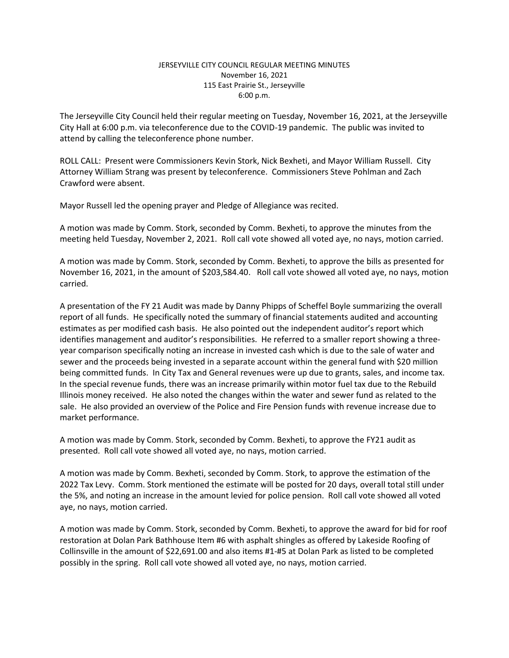## JERSEYVILLE CITY COUNCIL REGULAR MEETING MINUTES November 16, 2021 115 East Prairie St., Jerseyville 6:00 p.m.

The Jerseyville City Council held their regular meeting on Tuesday, November 16, 2021, at the Jerseyville City Hall at 6:00 p.m. via teleconference due to the COVID-19 pandemic. The public was invited to attend by calling the teleconference phone number.

ROLL CALL: Present were Commissioners Kevin Stork, Nick Bexheti, and Mayor William Russell. City Attorney William Strang was present by teleconference. Commissioners Steve Pohlman and Zach Crawford were absent.

Mayor Russell led the opening prayer and Pledge of Allegiance was recited.

A motion was made by Comm. Stork, seconded by Comm. Bexheti, to approve the minutes from the meeting held Tuesday, November 2, 2021. Roll call vote showed all voted aye, no nays, motion carried.

A motion was made by Comm. Stork, seconded by Comm. Bexheti, to approve the bills as presented for November 16, 2021, in the amount of \$203,584.40. Roll call vote showed all voted aye, no nays, motion carried.

A presentation of the FY 21 Audit was made by Danny Phipps of Scheffel Boyle summarizing the overall report of all funds. He specifically noted the summary of financial statements audited and accounting estimates as per modified cash basis. He also pointed out the independent auditor's report which identifies management and auditor's responsibilities. He referred to a smaller report showing a threeyear comparison specifically noting an increase in invested cash which is due to the sale of water and sewer and the proceeds being invested in a separate account within the general fund with \$20 million being committed funds. In City Tax and General revenues were up due to grants, sales, and income tax. In the special revenue funds, there was an increase primarily within motor fuel tax due to the Rebuild Illinois money received. He also noted the changes within the water and sewer fund as related to the sale. He also provided an overview of the Police and Fire Pension funds with revenue increase due to market performance.

A motion was made by Comm. Stork, seconded by Comm. Bexheti, to approve the FY21 audit as presented. Roll call vote showed all voted aye, no nays, motion carried.

A motion was made by Comm. Bexheti, seconded by Comm. Stork, to approve the estimation of the 2022 Tax Levy. Comm. Stork mentioned the estimate will be posted for 20 days, overall total still under the 5%, and noting an increase in the amount levied for police pension. Roll call vote showed all voted aye, no nays, motion carried.

A motion was made by Comm. Stork, seconded by Comm. Bexheti, to approve the award for bid for roof restoration at Dolan Park Bathhouse Item #6 with asphalt shingles as offered by Lakeside Roofing of Collinsville in the amount of \$22,691.00 and also items #1-#5 at Dolan Park as listed to be completed possibly in the spring. Roll call vote showed all voted aye, no nays, motion carried.